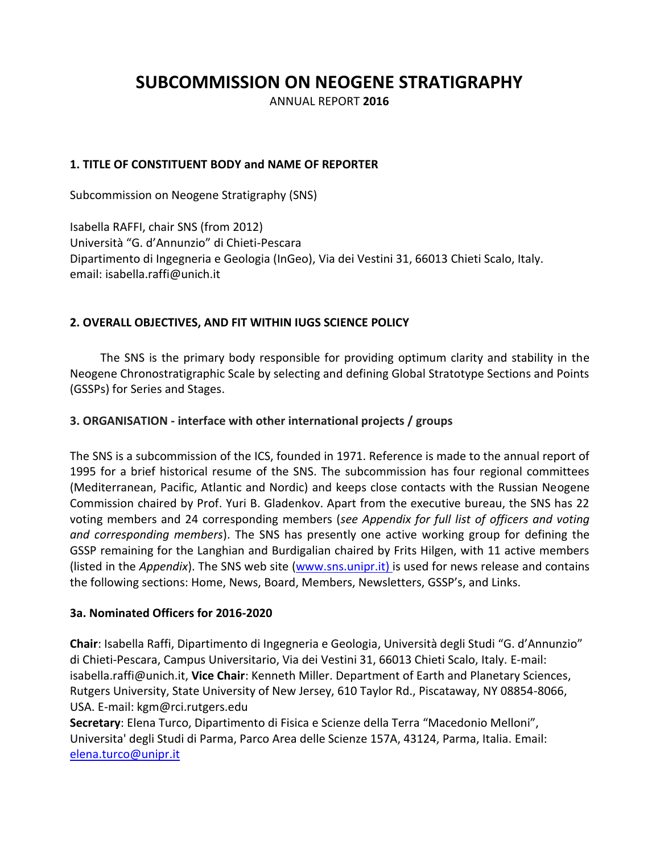# **SUBCOMMISSION ON NEOGENE STRATIGRAPHY**

ANNUAL REPORT **2016**

## **1. TITLE OF CONSTITUENT BODY and NAME OF REPORTER**

Subcommission on Neogene Stratigraphy (SNS)

Isabella RAFFI, chair SNS (from 2012) Università "G. d'Annunzio" di Chieti-Pescara Dipartimento di Ingegneria e Geologia (InGeo), Via dei Vestini 31, 66013 Chieti Scalo, Italy. email: isabella.raffi@unich.it

## **2. OVERALL OBJECTIVES, AND FIT WITHIN IUGS SCIENCE POLICY**

The SNS is the primary body responsible for providing optimum clarity and stability in the Neogene Chronostratigraphic Scale by selecting and defining Global Stratotype Sections and Points (GSSPs) for Series and Stages.

## **3. ORGANISATION - interface with other international projects / groups**

The SNS is a subcommission of the ICS, founded in 1971. Reference is made to the annual report of 1995 for a brief historical resume of the SNS. The subcommission has four regional committees (Mediterranean, Pacific, Atlantic and Nordic) and keeps close contacts with the Russian Neogene Commission chaired by Prof. Yuri B. Gladenkov. Apart from the executive bureau, the SNS has 22 voting members and 24 corresponding members (*see Appendix for full list of officers and voting and corresponding members*). The SNS has presently one active working group for defining the GSSP remaining for the Langhian and Burdigalian chaired by Frits Hilgen, with 11 active members (listed in the *Appendix*). The SNS web site [\(www.sns.unipr.it\)](http://www.sns.unipr.it/) is used for news release and contains the following sections: Home, News, Board, Members, Newsletters, GSSP's, and Links.

## **3a. Nominated Officers for 2016-2020**

**Chair**: Isabella Raffi, [Dipartimento di Ingegneria e Geologia](http://www.unich.it/unichieti/portletlocator/ContattoOrganizzazione_details?path=/BEA%20Repository/132035), Università degli Studi "G. d'Annunzio" di Chieti-Pescara, Campus Universitario, Via dei Vestini 31, 66013 Chieti Scalo, Italy. E-mail: isabella[.raffi@unich.it,](mailto:raffi@unich.it) **Vice Chair**: Kenneth Miller. [Department of Earth and Planetary Sciences,](http://geology.rutgers.edu/) Rutgers University, State University of New Jersey, 610 Taylor Rd., Piscataway, NY 08854-8066, USA. E-mail: kgm@rci.rutgers.edu

**Secretary**: Elena Turco, Dipartimento di Fisica e Scienze della Terra "Macedonio Melloni", Universita' degli Studi di Parma, Parco Area delle Scienze 157A, 43124, Parma, Italia. Email: [elena.turco@unipr.it](mailto:elena.turco@unipr.it)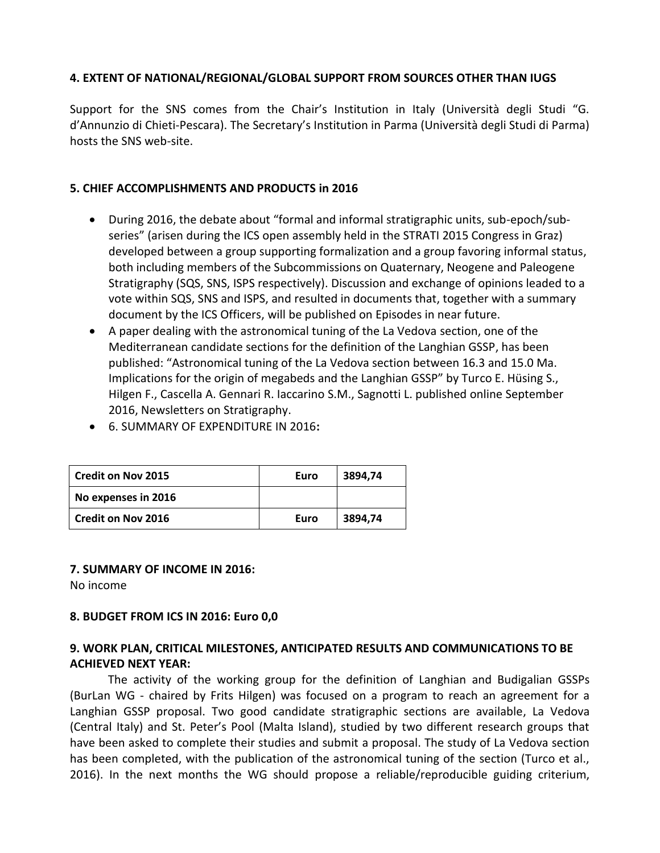#### **4. EXTENT OF NATIONAL/REGIONAL/GLOBAL SUPPORT FROM SOURCES OTHER THAN IUGS**

Support for the SNS comes from the Chair's Institution in Italy (Università degli Studi "G. d'Annunzio di Chieti-Pescara). The Secretary's Institution in Parma (Università degli Studi di Parma) hosts the SNS web-site.

### **5. CHIEF ACCOMPLISHMENTS AND PRODUCTS in 2016**

- During 2016, the debate about "formal and informal stratigraphic units, sub-epoch/subseries" (arisen during the ICS open assembly held in the STRATI 2015 Congress in Graz) developed between a group supporting formalization and a group favoring informal status, both including members of the Subcommissions on Quaternary, Neogene and Paleogene Stratigraphy (SQS, SNS, ISPS respectively). Discussion and exchange of opinions leaded to a vote within SQS, SNS and ISPS, and resulted in documents that, together with a summary document by the ICS Officers, will be published on Episodes in near future.
- A paper dealing with the astronomical tuning of the La Vedova section, one of the Mediterranean candidate sections for the definition of the Langhian GSSP, has been published: "Astronomical tuning of the La Vedova section between 16.3 and 15.0 Ma. Implications for the origin of megabeds and the Langhian GSSP" by Turco E. Hüsing S., Hilgen F., Cascella A. Gennari R. Iaccarino S.M., Sagnotti L. published online September 2016, Newsletters on Stratigraphy.
- 6. SUMMARY OF EXPENDITURE IN 2016**:**

| <b>Credit on Nov 2015</b> | Euro | 3894.74 |
|---------------------------|------|---------|
| No expenses in 2016       |      |         |
| <b>Credit on Nov 2016</b> | Euro | 3894,74 |

#### **7. SUMMARY OF INCOME IN 2016:**

No income

#### **8. BUDGET FROM ICS IN 2016: Euro 0,0**

## **9. WORK PLAN, CRITICAL MILESTONES, ANTICIPATED RESULTS AND COMMUNICATIONS TO BE ACHIEVED NEXT YEAR:**

The activity of the working group for the definition of Langhian and Budigalian GSSPs (BurLan WG - chaired by Frits Hilgen) was focused on a program to reach an agreement for a Langhian GSSP proposal. Two good candidate stratigraphic sections are available, La Vedova (Central Italy) and St. Peter's Pool (Malta Island), studied by two different research groups that have been asked to complete their studies and submit a proposal. The study of La Vedova section has been completed, with the publication of the astronomical tuning of the section (Turco et al., 2016). In the next months the WG should propose a reliable/reproducible guiding criterium,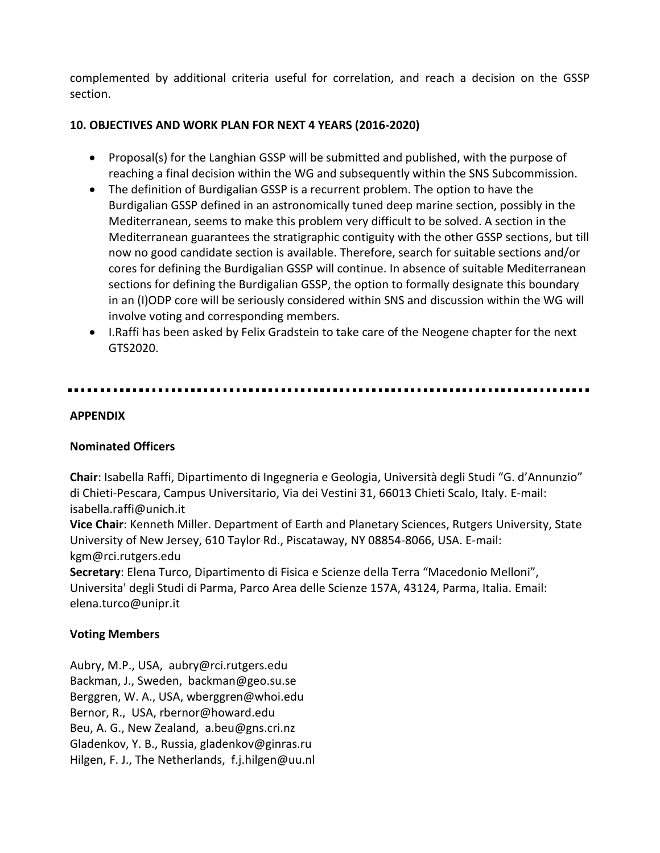complemented by additional criteria useful for correlation, and reach a decision on the GSSP section.

## **10. OBJECTIVES AND WORK PLAN FOR NEXT 4 YEARS (2016-2020)**

- Proposal(s) for the Langhian GSSP will be submitted and published, with the purpose of reaching a final decision within the WG and subsequently within the SNS Subcommission.
- The definition of Burdigalian GSSP is a recurrent problem. The option to have the Burdigalian GSSP defined in an astronomically tuned deep marine section, possibly in the Mediterranean, seems to make this problem very difficult to be solved. A section in the Mediterranean guarantees the stratigraphic contiguity with the other GSSP sections, but till now no good candidate section is available. Therefore, search for suitable sections and/or cores for defining the Burdigalian GSSP will continue. In absence of suitable Mediterranean sections for defining the Burdigalian GSSP, the option to formally designate this boundary in an (I)ODP core will be seriously considered within SNS and discussion within the WG will involve voting and corresponding members.
- I.Raffi has been asked by Felix Gradstein to take care of the Neogene chapter for the next GTS2020.

### **APPENDIX**

## **Nominated Officers**

**Chair**: Isabella Raffi, [Dipartimento di Ingegneria e Geologia](http://www.unich.it/unichieti/portletlocator/ContattoOrganizzazione_details?path=/BEA%20Repository/132035), Università degli Studi "G. d'Annunzio" di Chieti-Pescara, Campus Universitario, Via dei Vestini 31, 66013 Chieti Scalo, Italy. E-mail: isabella[.raffi@unich.it](mailto:raffi@unich.it)

**Vice Chair**: Kenneth Miller[. Department of Earth and Planetary Sciences,](http://geology.rutgers.edu/) Rutgers University, State University of New Jersey, 610 Taylor Rd., Piscataway, NY 08854-8066, USA. E-mail: kgm@rci.rutgers.edu

**Secretary**: Elena Turco, Dipartimento di Fisica e Scienze della Terra "Macedonio Melloni", Universita' degli Studi di Parma, Parco Area delle Scienze 157A, 43124, Parma, Italia. Email: elena.turco@unipr.it

## **Voting Members**

Aubry, M.P., USA, [aubry@rci.rutgers.edu](mailto:aubry@rci.rutgers.edu) Backman, J., Sweden, [backman@geo.su.se](mailto:backman@geo.su.se) Berggren, W. A., USA, [wberggren@whoi.edu](mailto:wberggren@whoi.edu) Bernor, R., USA, [rbernor@howard.edu](mailto:rbernor@howard.edu) Beu, A. G., New Zealand, [a.beu@gns.cri.nz](mailto:a.beu@gns.cri.nz) Gladenkov, Y. B., Russia, [gladenkov@ginras.ru](mailto:gladenkov@ginras.ru) Hilgen, F. J., The Netherlands, [f.j.hilgen@uu.nl](mailto:f.j.hilgen@uu.nl)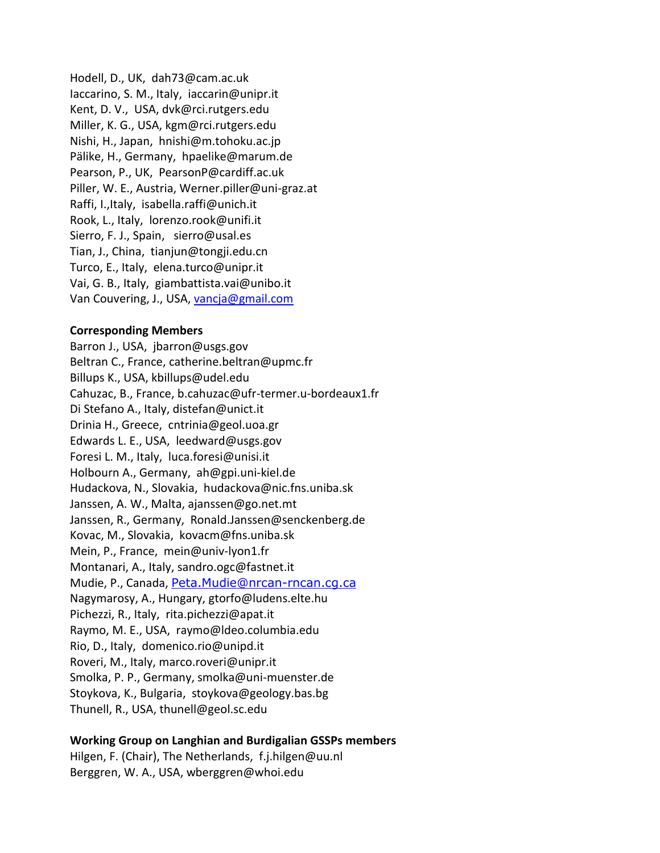Hodell, D., UK, [dah73@cam.ac.uk](mailto:dah73@cam.ac.uk) Iaccarino, S. M., Italy, [iaccarin@unipr.it](mailto:iaccarin@unipr.it) Kent, D. V., USA, [dvk@rci.rutgers.edu](mailto:dvk@rci.rutgers.edu) Miller, K. G., USA, [kgm@rci.rutgers.edu](mailto:kgm@rci.rutgers.edu) Nishi, H., Japan, [hnishi@m.tohoku.ac.jp](mailto:hnishi@m.tohoku.ac.jp) Pälike, H., Germany, [hpaelike@marum.de](mailto:hpaelike@marum.de) Pearson, P., UK, [PearsonP@cardiff.ac.uk](mailto:PearsonP@cardiff.ac.uk) Piller, W. E., Austria, [Werner.piller@uni-graz.at](mailto:Werner.piller@uni-graz.at) Raffi, I.,Italy, isabella[.raffi@unich.it](mailto:raffi@unich.it) Rook, L., Italy, [lorenzo.rook@unifi.it](mailto:lorenzo.rook@unifi.it) Sierro, F. J., Spain, [sierro@usal.es](mailto:sierro@usal.es) Tian, J., China, [tianjun@tongji.edu.cn](mailto:tianjun@tongji.edu.cn) Turco, E., Italy, [elena.turco@unipr.it](mailto:elena.turco@unipr.it) Vai, G. B., Italy, [giambattista.vai@unibo.it](mailto:giambattista.vai@unibo.it) Van Couvering, J., USA, [vancja@gmail.com](mailto:vancja@gmail.com)

#### **Corresponding Members**

Barron J., USA, [jbarron@usgs.gov](mailto:jbarron@usgs.gov) Beltran C., France[, catherine.beltran@upmc.fr](mailto:catherine.beltran@upmc.fr) Billups K., USA, [kbillups@udel.edu](mailto:kbillups@udel.edu) Cahuzac, B., France, [b.cahuzac@ufr-termer.u-bordeaux1.fr](mailto:b.cahuzac@ufr-termer.u-bordeaux1.fr) Di Stefano A., Italy, [distefan@unict.it](mailto:distefan@unict.it) Drinia H., Greece, [cntrinia@geol.uoa.gr](mailto:cntrinia@geol.uoa.gr) Edwards L. E., USA, [leedward@usgs.gov](mailto:leedward@usgs.gov) Foresi L. M., Italy, [luca.foresi@unisi.it](mailto:luca.foresi@unisi.it) Holbourn A., Germany, [ah@gpi.uni-kiel.de](mailto:ah@gpi.uni-kiel.de)  Hudackova, N., Slovakia, [hudackova@nic.fns.uniba.sk](mailto:hudackova@nic.fns.uniba.sk) Janssen, A. W., Malta, [ajanssen@go.net.mt](mailto:ajanssen@go.net.mt) Janssen, R., Germany, [Ronald.Janssen@senckenberg.de](mailto:Ronald.Janssen@senckenberg.de) Kovac, M., Slovakia, [kovacm@fns.uniba.sk](mailto:kovacm@fns.uniba.sk) Mein, P., France, [mein@univ-lyon1.fr](mailto:mein@univ-lyon1.fr) Montanari, A., Italy, [sandro.ogc@fastnet.it](mailto:sandro.ogc@fastnet.it) Mudie, P., Canada, [Peta.Mudie@nrcan-rncan.cg.ca](mailto:Peta.Mudie@nrcan-rncan.cg.ca) Nagymarosy, A., Hungary, [gtorfo@ludens.elte.hu](mailto:gtorfo@ludens.elte.hu) Pichezzi, R., Italy, rita.pichezzi@apat.it Raymo, M. E., USA, [raymo@ldeo.columbia.edu](mailto:raymo@ldeo.columbia.edu) Rio, D., Italy, [domenico.rio@unipd.it](mailto:domenico.rio@unipd.it) Roveri, M., Italy, [marco.roveri@unipr.it](mailto:marco.roveri@unipr.it) Smolka, P. P., Germany, [smolka@uni-muenster.de](mailto:smolka@uni-muenster.de) Stoykova, K., Bulgaria, [stoykova@geology.bas.bg](mailto:stoykova@geology.bas.bg) Thunell, R., USA, [thunell@geol.sc.edu](mailto:thunell@geol.sc.edu)

#### **Working Group on Langhian and Burdigalian GSSPs members**

Hilgen, F. (Chair), The Netherlands, [f.j.hilgen@uu.nl](mailto:f.j.hilgen@uu.nl) Berggren, W. A., USA, [wberggren@whoi.edu](mailto:wberggren@whoi.edu)